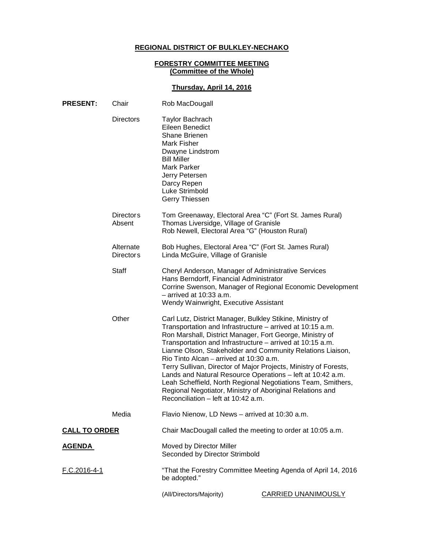# **REGIONAL DISTRICT OF BULKLEY-NECHAKO**

#### **FORESTRY COMMITTEE MEETING (Committee of the Whole)**

# **Thursday, April 14, 2016**

| <b>PRESENT:</b>      | Chair                         | Rob MacDougall                                                                                                                                                                                                                                                                                                                                                                                                                                                                                                                                                                                                                                                 |                                                               |
|----------------------|-------------------------------|----------------------------------------------------------------------------------------------------------------------------------------------------------------------------------------------------------------------------------------------------------------------------------------------------------------------------------------------------------------------------------------------------------------------------------------------------------------------------------------------------------------------------------------------------------------------------------------------------------------------------------------------------------------|---------------------------------------------------------------|
|                      | <b>Directors</b>              | <b>Taylor Bachrach</b><br>Eileen Benedict<br><b>Shane Brienen</b><br>Mark Fisher<br>Dwayne Lindstrom<br><b>Bill Miller</b><br><b>Mark Parker</b><br>Jerry Petersen<br>Darcy Repen<br>Luke Strimbold<br>Gerry Thiessen                                                                                                                                                                                                                                                                                                                                                                                                                                          |                                                               |
|                      | <b>Directors</b><br>Absent    | Tom Greenaway, Electoral Area "C" (Fort St. James Rural)<br>Thomas Liversidge, Village of Granisle<br>Rob Newell, Electoral Area "G" (Houston Rural)                                                                                                                                                                                                                                                                                                                                                                                                                                                                                                           |                                                               |
|                      | Alternate<br><b>Directors</b> | Bob Hughes, Electoral Area "C" (Fort St. James Rural)<br>Linda McGuire, Village of Granisle                                                                                                                                                                                                                                                                                                                                                                                                                                                                                                                                                                    |                                                               |
|                      | <b>Staff</b>                  | Cheryl Anderson, Manager of Administrative Services<br>Hans Berndorff, Financial Administrator<br>$-$ arrived at 10:33 a.m.<br>Wendy Wainwright, Executive Assistant                                                                                                                                                                                                                                                                                                                                                                                                                                                                                           | Corrine Swenson, Manager of Regional Economic Development     |
| Other                |                               | Carl Lutz, District Manager, Bulkley Stikine, Ministry of<br>Transportation and Infrastructure - arrived at 10:15 a.m.<br>Ron Marshall, District Manager, Fort George, Ministry of<br>Transportation and Infrastructure - arrived at 10:15 a.m.<br>Lianne Olson, Stakeholder and Community Relations Liaison,<br>Rio Tinto Alcan – arrived at 10:30 a.m.<br>Terry Sullivan, Director of Major Projects, Ministry of Forests,<br>Lands and Natural Resource Operations - left at 10:42 a.m.<br>Leah Scheffield, North Regional Negotiations Team, Smithers,<br>Regional Negotiator, Ministry of Aboriginal Relations and<br>Reconciliation - left at 10:42 a.m. |                                                               |
|                      | Media                         | Flavio Nienow, LD News - arrived at 10:30 a.m.                                                                                                                                                                                                                                                                                                                                                                                                                                                                                                                                                                                                                 |                                                               |
| <b>CALL TO ORDER</b> |                               | Chair MacDougall called the meeting to order at 10:05 a.m.                                                                                                                                                                                                                                                                                                                                                                                                                                                                                                                                                                                                     |                                                               |
| <u>AGENDA</u>        |                               | Moved by Director Miller<br>Seconded by Director Strimbold                                                                                                                                                                                                                                                                                                                                                                                                                                                                                                                                                                                                     |                                                               |
| F.C.2016-4-1         |                               | be adopted."                                                                                                                                                                                                                                                                                                                                                                                                                                                                                                                                                                                                                                                   | "That the Forestry Committee Meeting Agenda of April 14, 2016 |
|                      |                               | (All/Directors/Majority)                                                                                                                                                                                                                                                                                                                                                                                                                                                                                                                                                                                                                                       | <b>CARRIED UNANIMOUSLY</b>                                    |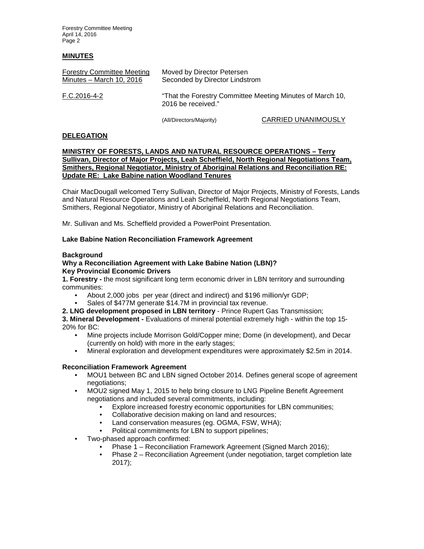Forestry Committee Meeting April 14, 2016 Page 2

### **MINUTES**

| <b>Forestry Committee Meeting</b> | Moved by Director Petersen                                                      |
|-----------------------------------|---------------------------------------------------------------------------------|
| Minutes - March 10, 2016          | Seconded by Director Lindstrom                                                  |
| F.C.2016-4-2                      | "That the Forestry Committee Meeting Minutes of March 10,<br>2016 be received." |

(All/Directors/Majority) CARRIED UNANIMOUSLY

#### **DELEGATION**

### **MINISTRY OF FORESTS, LANDS AND NATURAL RESOURCE OPERATIONS – Terry Sullivan, Director of Major Projects, Leah Scheffield, North Regional Negotiations Team, Smithers, Regional Negotiator, Ministry of Aboriginal Relations and Reconciliation RE: Update RE: Lake Babine nation Woodland Tenures**

Chair MacDougall welcomed Terry Sullivan, Director of Major Projects, Ministry of Forests, Lands and Natural Resource Operations and Leah Scheffield, North Regional Negotiations Team, Smithers, Regional Negotiator, Ministry of Aboriginal Relations and Reconciliation.

Mr. Sullivan and Ms. Scheffield provided a PowerPoint Presentation.

### **Lake Babine Nation Reconciliation Framework Agreement**

### **Background**

#### **Why a Reconciliation Agreement with Lake Babine Nation (LBN)? Key Provincial Economic Drivers**

**1. Forestry -** the most significant long term economic driver in LBN territory and surrounding communities:

- About 2,000 jobs per year (direct and indirect) and \$196 million/yr GDP;
- Sales of \$477M generate \$14.7M in provincial tax revenue.
- **2. LNG development proposed in LBN territory**  Prince Rupert Gas Transmission;

**3. Mineral Development -** Evaluations of mineral potential extremely high - within the top 15- 20% for BC:

- Mine projects include Morrison Gold/Copper mine; Dome (in development), and Decar (currently on hold) with more in the early stages;
- Mineral exploration and development expenditures were approximately \$2.5m in 2014.

### **Reconciliation Framework Agreement**

- MOU1 between BC and LBN signed October 2014. Defines general scope of agreement negotiations;
- MOU2 signed May 1, 2015 to help bring closure to LNG Pipeline Benefit Agreement negotiations and included several commitments, including:
	- Explore increased forestry economic opportunities for LBN communities;
	- Collaborative decision making on land and resources;
	- Land conservation measures (eg. OGMA, FSW, WHA);
	- Political commitments for LBN to support pipelines;
- Two-phased approach confirmed:
	- Phase 1 Reconciliation Framework Agreement (Signed March 2016);
	- Phase 2 Reconciliation Agreement (under negotiation, target completion late 2017);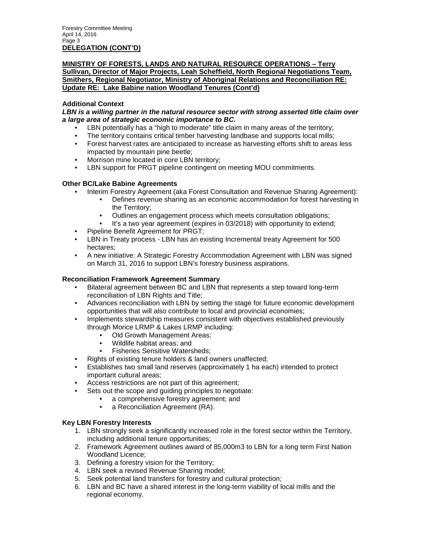### **MINISTRY OF FORESTS, LANDS AND NATURAL RESOURCE OPERATIONS – Terry Sullivan, Director of Major Projects, Leah Scheffield, North Regional Negotiations Team, Smithers, Regional Negotiator, Ministry of Aboriginal Relations and Reconciliation RE: Update RE: Lake Babine nation Woodland Tenures (Cont'd)**

# **Additional Context**

### *LBN is a willing partner in the natural resource sector with strong asserted title claim over a large area of strategic economic importance to BC.*

- LBN potentially has a "high to moderate" title claim in many areas of the territory;
- The territory contains critical timber harvesting landbase and supports local mills;
- Forest harvest rates are anticipated to increase as harvesting efforts shift to areas less impacted by mountain pine beetle;
- Morrison mine located in core LBN territory;
- LBN support for PRGT pipeline contingent on meeting MOU commitments.

## **Other BC/Lake Babine Agreements**

- Interim Forestry Agreement (aka Forest Consultation and Revenue Sharing Agreement):
	- Defines revenue sharing as an economic accommodation for forest harvesting in the Territory;
	- Outlines an engagement process which meets consultation obligations;
	- It's a two year agreement (expires in 03/2018) with opportunity to extend;
- Pipeline Benefit Agreement for PRGT;
- LBN in Treaty process LBN has an existing Incremental treaty Agreement for 500 hectares;
- A new initiative: A Strategic Forestry Accommodation Agreement with LBN was signed on March 31, 2016 to support LBN's forestry business aspirations.

# **Reconciliation Framework Agreement Summary**

- Bilateral agreement between BC and LBN that represents a step toward long-term reconciliation of LBN Rights and Title;
- Advances reconciliation with LBN by setting the stage for future economic development opportunities that will also contribute to local and provincial economies;
- Implements stewardship measures consistent with objectives established previously through Morice LRMP & Lakes LRMP including:
	- Old Growth Management Areas;
	- Wildlife habitat areas; and
	- Fisheries Sensitive Watersheds;
- Rights of existing tenure holders & land owners unaffected;
- Establishes two small land reserves (approximately 1 ha each) intended to protect important cultural areas;
- Access restrictions are not part of this agreement;
- Sets out the scope and guiding principles to negotiate:
	- a comprehensive forestry agreement; and
		- a Reconciliation Agreement (RA).

### **Key LBN Forestry Interests**

- 1. LBN strongly seek a significantly increased role in the forest sector within the Territory, including additional tenure opportunities;
- 2. Framework Agreement outlines award of 85,000m3 to LBN for a long term First Nation Woodland Licence;
- 3. Defining a forestry vision for the Territory;
- 4. LBN seek a revised Revenue Sharing model;
- 5. Seek potential land transfers for forestry and cultural protection;
- 6. LBN and BC have a shared interest in the long-term viability of local mills and the regional economy.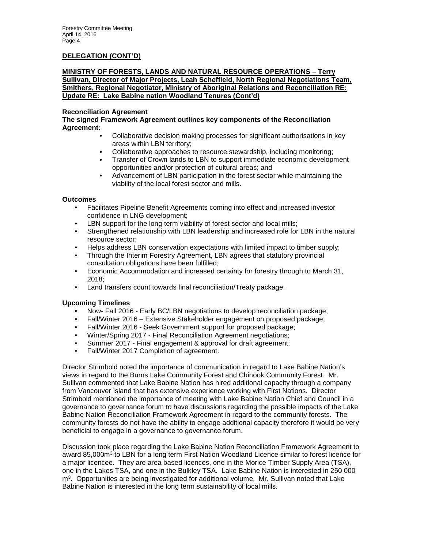### **DELEGATION (CONT'D)**

### **MINISTRY OF FORESTS, LANDS AND NATURAL RESOURCE OPERATIONS – Terry Sullivan, Director of Major Projects, Leah Scheffield, North Regional Negotiations Team, Smithers, Regional Negotiator, Ministry of Aboriginal Relations and Reconciliation RE: Update RE: Lake Babine nation Woodland Tenures (Cont'd)**

### **Reconciliation Agreement**

**The signed Framework Agreement outlines key components of the Reconciliation Agreement:**

- Collaborative decision making processes for significant authorisations in key areas within LBN territory;
- Collaborative approaches to resource stewardship, including monitoring;
- Transfer of Crown lands to LBN to support immediate economic development opportunities and/or protection of cultural areas; and
- Advancement of LBN participation in the forest sector while maintaining the viability of the local forest sector and mills.

#### **Outcomes**

- Facilitates Pipeline Benefit Agreements coming into effect and increased investor confidence in LNG development;
- LBN support for the long term viability of forest sector and local mills;
- Strengthened relationship with LBN leadership and increased role for LBN in the natural resource sector;
- Helps address LBN conservation expectations with limited impact to timber supply;
- Through the Interim Forestry Agreement, LBN agrees that statutory provincial consultation obligations have been fulfilled;
- Economic Accommodation and increased certainty for forestry through to March 31, 2018;
- Land transfers count towards final reconciliation/Treaty package.

### **Upcoming Timelines**

- Now- Fall 2016 Early BC/LBN negotiations to develop reconciliation package;
- Fall/Winter 2016 Extensive Stakeholder engagement on proposed package;
- Fall/Winter 2016 Seek Government support for proposed package;
- Winter/Spring 2017 Final Reconciliation Agreement negotiations;
- Summer 2017 Final engagement & approval for draft agreement;
- Fall/Winter 2017 Completion of agreement.

Director Strimbold noted the importance of communication in regard to Lake Babine Nation's views in regard to the Burns Lake Community Forest and Chinook Community Forest. Mr. Sullivan commented that Lake Babine Nation has hired additional capacity through a company from Vancouver Island that has extensive experience working with First Nations. Director Strimbold mentioned the importance of meeting with Lake Babine Nation Chief and Council in a governance to governance forum to have discussions regarding the possible impacts of the Lake Babine Nation Reconciliation Framework Agreement in regard to the community forests. The community forests do not have the ability to engage additional capacity therefore it would be very beneficial to engage in a governance to governance forum.

Discussion took place regarding the Lake Babine Nation Reconciliation Framework Agreement to award 85,000m<sup>3</sup> to LBN for a long term First Nation Woodland Licence similar to forest licence for a major licencee. They are area based licences, one in the Morice Timber Supply Area (TSA), one in the Lakes TSA, and one in the Bulkley TSA. Lake Babine Nation is interested in 250 000 m3. Opportunities are being investigated for additional volume. Mr. Sullivan noted that Lake Babine Nation is interested in the long term sustainability of local mills.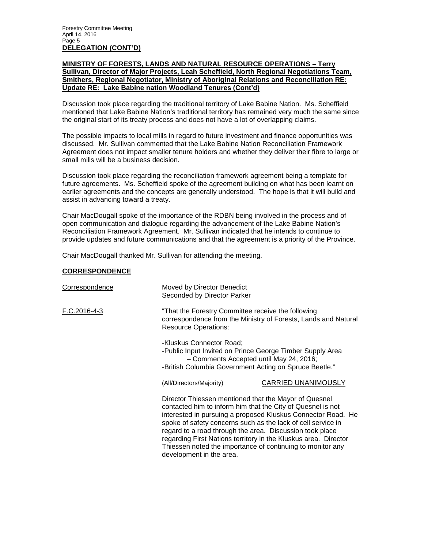### **MINISTRY OF FORESTS, LANDS AND NATURAL RESOURCE OPERATIONS – Terry Sullivan, Director of Major Projects, Leah Scheffield, North Regional Negotiations Team, Smithers, Regional Negotiator, Ministry of Aboriginal Relations and Reconciliation RE: Update RE: Lake Babine nation Woodland Tenures (Cont'd)**

Discussion took place regarding the traditional territory of Lake Babine Nation. Ms. Scheffield mentioned that Lake Babine Nation's traditional territory has remained very much the same since the original start of its treaty process and does not have a lot of overlapping claims.

The possible impacts to local mills in regard to future investment and finance opportunities was discussed. Mr. Sullivan commented that the Lake Babine Nation Reconciliation Framework Agreement does not impact smaller tenure holders and whether they deliver their fibre to large or small mills will be a business decision.

Discussion took place regarding the reconciliation framework agreement being a template for future agreements. Ms. Scheffield spoke of the agreement building on what has been learnt on earlier agreements and the concepts are generally understood. The hope is that it will build and assist in advancing toward a treaty.

Chair MacDougall spoke of the importance of the RDBN being involved in the process and of open communication and dialogue regarding the advancement of the Lake Babine Nation's Reconciliation Framework Agreement. Mr. Sullivan indicated that he intends to continue to provide updates and future communications and that the agreement is a priority of the Province.

Chair MacDougall thanked Mr. Sullivan for attending the meeting.

### **CORRESPONDENCE**

| Correspondence | Moved by Director Benedict<br>Seconded by Director Parker                                                                                                                                                                                                                                                                                                                                                                                                                     |                                                                                                                                                                                            |  |
|----------------|-------------------------------------------------------------------------------------------------------------------------------------------------------------------------------------------------------------------------------------------------------------------------------------------------------------------------------------------------------------------------------------------------------------------------------------------------------------------------------|--------------------------------------------------------------------------------------------------------------------------------------------------------------------------------------------|--|
| F.C.2016-4-3   | "That the Forestry Committee receive the following<br>correspondence from the Ministry of Forests, Lands and Natural<br><b>Resource Operations:</b>                                                                                                                                                                                                                                                                                                                           |                                                                                                                                                                                            |  |
|                |                                                                                                                                                                                                                                                                                                                                                                                                                                                                               | -Kluskus Connector Road;<br>-Public Input Invited on Prince George Timber Supply Area<br>- Comments Accepted until May 24, 2016;<br>-British Columbia Government Acting on Spruce Beetle." |  |
|                | (All/Directors/Majority)                                                                                                                                                                                                                                                                                                                                                                                                                                                      | <b>CARRIED UNANIMOUSLY</b>                                                                                                                                                                 |  |
|                | Director Thiessen mentioned that the Mayor of Quesnel<br>contacted him to inform him that the City of Quesnel is not<br>interested in pursuing a proposed Kluskus Connector Road. He<br>spoke of safety concerns such as the lack of cell service in<br>regard to a road through the area. Discussion took place<br>regarding First Nations territory in the Kluskus area. Director<br>Thiessen noted the importance of continuing to monitor any<br>development in the area. |                                                                                                                                                                                            |  |